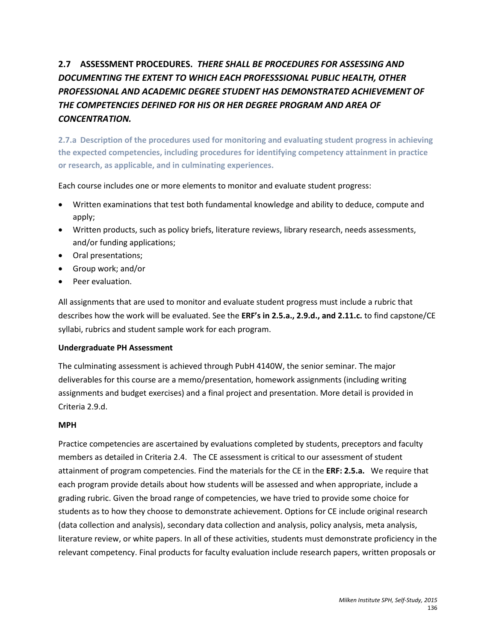# **2.7 ASSESSMENT PROCEDURES.** *THERE SHALL BE PROCEDURES FOR ASSESSING AND DOCUMENTING THE EXTENT TO WHICH EACH PROFESSSIONAL PUBLIC HEALTH, OTHER PROFESSIONAL AND ACADEMIC DEGREE STUDENT HAS DEMONSTRATED ACHIEVEMENT OF THE COMPETENCIES DEFINED FOR HIS OR HER DEGREE PROGRAM AND AREA OF CONCENTRATION.*

**2.7.a Description of the procedures used for monitoring and evaluating student progress in achieving the expected competencies, including procedures for identifying competency attainment in practice or research, as applicable, and in culminating experiences.**

Each course includes one or more elements to monitor and evaluate student progress:

- Written examinations that test both fundamental knowledge and ability to deduce, compute and apply;
- Written products, such as policy briefs, literature reviews, library research, needs assessments, and/or funding applications;
- Oral presentations;
- Group work; and/or
- Peer evaluation.

All assignments that are used to monitor and evaluate student progress must include a rubric that describes how the work will be evaluated. See the **ERF's in 2.5.a., 2.9.d., and 2.11.c.** to find capstone/CE syllabi, rubrics and student sample work for each program.

#### **Undergraduate PH Assessment**

The culminating assessment is achieved through PubH 4140W, the senior seminar. The major deliverables for this course are a memo/presentation, homework assignments (including writing assignments and budget exercises) and a final project and presentation. More detail is provided in Criteria 2.9.d.

#### **MPH**

Practice competencies are ascertained by evaluations completed by students, preceptors and faculty members as detailed in Criteria 2.4. The CE assessment is critical to our assessment of student attainment of program competencies. Find the materials for the CE in the **ERF: 2.5.a.** We require that each program provide details about how students will be assessed and when appropriate, include a grading rubric. Given the broad range of competencies, we have tried to provide some choice for students as to how they choose to demonstrate achievement. Options for CE include original research (data collection and analysis), secondary data collection and analysis, policy analysis, meta analysis, literature review, or white papers. In all of these activities, students must demonstrate proficiency in the relevant competency. Final products for faculty evaluation include research papers, written proposals or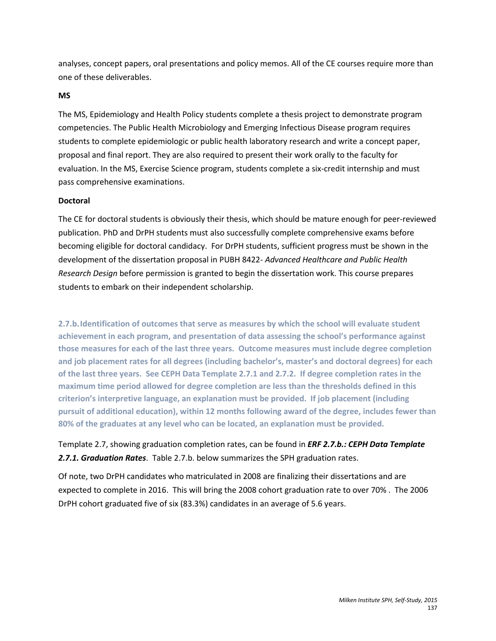analyses, concept papers, oral presentations and policy memos. All of the CE courses require more than one of these deliverables.

#### **MS**

The MS, Epidemiology and Health Policy students complete a thesis project to demonstrate program competencies. The Public Health Microbiology and Emerging Infectious Disease program requires students to complete epidemiologic or public health laboratory research and write a concept paper, proposal and final report. They are also required to present their work orally to the faculty for evaluation. In the MS, Exercise Science program, students complete a six-credit internship and must pass comprehensive examinations.

#### **Doctoral**

The CE for doctoral students is obviously their thesis, which should be mature enough for peer-reviewed publication. PhD and DrPH students must also successfully complete comprehensive exams before becoming eligible for doctoral candidacy. For DrPH students, sufficient progress must be shown in the development of the dissertation proposal in PUBH 8422- *Advanced Healthcare and Public Health Research Design* before permission is granted to begin the dissertation work. This course prepares students to embark on their independent scholarship.

**2.7.b.Identification of outcomes that serve as measures by which the school will evaluate student achievement in each program, and presentation of data assessing the school's performance against those measures for each of the last three years. Outcome measures must include degree completion and job placement rates for all degrees (including bachelor's, master's and doctoral degrees) for each of the last three years. See CEPH Data Template 2.7.1 and 2.7.2. If degree completion rates in the maximum time period allowed for degree completion are less than the thresholds defined in this criterion's interpretive language, an explanation must be provided. If job placement (including pursuit of additional education), within 12 months following award of the degree, includes fewer than 80% of the graduates at any level who can be located, an explanation must be provided.**

Template 2.7, showing graduation completion rates, can be found in *ERF 2.7.b.: CEPH Data Template 2.7.1. Graduation Rates*. Table 2.7.b. below summarizes the SPH graduation rates.

Of note, two DrPH candidates who matriculated in 2008 are finalizing their dissertations and are expected to complete in 2016. This will bring the 2008 cohort graduation rate to over 70% . The 2006 DrPH cohort graduated five of six (83.3%) candidates in an average of 5.6 years.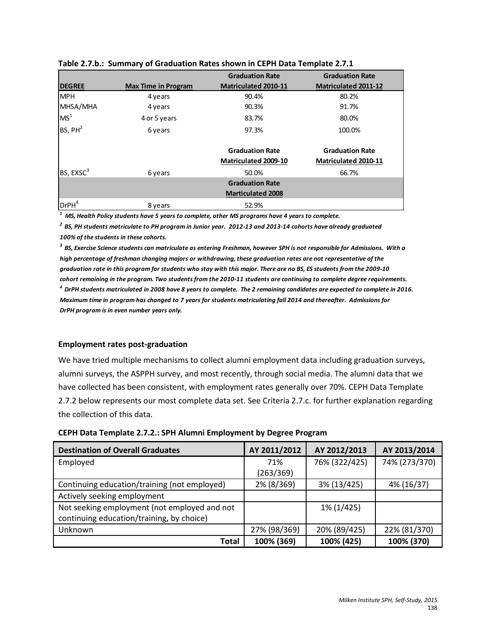|                       |                            | <b>Graduation Rate</b>      | <b>Graduation Rate</b>      |
|-----------------------|----------------------------|-----------------------------|-----------------------------|
| <b>DEGREE</b>         | <b>Max Time in Program</b> | <b>Matriculated 2010-11</b> | <b>Matriculated 2011-12</b> |
| <b>MPH</b>            | 4 years                    | 90.4%                       | 80.2%                       |
| MHSA/MHA              | 4 years                    | 90.3%                       | 91.7%                       |
| MS <sup>1</sup>       | 4 or 5 years               | 83.7%                       | 80.0%                       |
| BS, PH <sup>2</sup>   | 6 years                    | 97.3%                       | 100.0%                      |
|                       |                            | <b>Graduation Rate</b>      | <b>Graduation Rate</b>      |
|                       |                            | <b>Matriculated 2009-10</b> | Matriculated 2010-11        |
| BS, EXSC <sup>3</sup> | 6 years                    | 50.0%                       | 66.7%                       |
|                       |                            | <b>Graduation Rate</b>      |                             |
|                       |                            | <b>Marticulated 2008</b>    |                             |
| DrPH <sup>4</sup>     | 8 years                    | 52.9%                       |                             |

|  |  |  | Table 2.7.b.: Summary of Graduation Rates shown in CEPH Data Template 2.7.1 |  |  |
|--|--|--|-----------------------------------------------------------------------------|--|--|
|--|--|--|-----------------------------------------------------------------------------|--|--|

*1 MS, Health Policy students have 5 years to complete, other MS programs have 4 years to complete.*

*2 BS, PH students matriculate to PH program in Junior year. 2012-13 and 2013-14 cohorts have already graduated 100% of the students in these cohorts.*

*3 BS, Exercise Science students can matriculate as entering Freshman, however SPH is not responsible for Admissions. With a high percentage of freshman changing majors or withdrawing, these graduation rates are not representative of the graduation rate in this program for students who stay with this major. There are no BS, ES students from the 2009-10 cohort remaining in the program. Two students from the 2010-11 students are continuing to complete degree requirements. 4 DrPH students matriculated in 2008 have 8 years to complete. The 2 remaining candidates are expected to complete in 2016. Maximum time in program has changed to 7 years for students matriculating fall 2014 and thereafter. Admissions for DrPH program is in even number years only.*

#### **Employment rates post-graduation**

We have tried multiple mechanisms to collect alumni employment data including graduation surveys, alumni surveys, the ASPPH survey, and most recently, through social media. The alumni data that we have collected has been consistent, with employment rates generally over 70%. CEPH Data Template 2.7.2 below represents our most complete data set. See Criteria 2.7.c. for further explanation regarding the collection of this data.

| CEPH Data Template 2.7.2.: SPH Alumni Employment by Degree Program |  |  |
|--------------------------------------------------------------------|--|--|
|--------------------------------------------------------------------|--|--|

| <b>Destination of Overall Graduates</b>      | AY 2011/2012 | AY 2012/2013  | AY 2013/2014  |
|----------------------------------------------|--------------|---------------|---------------|
| Employed                                     | 71%          | 76% (322/425) | 74% (273/370) |
|                                              | (263/369)    |               |               |
| Continuing education/training (not employed) | 2% (8/369)   | 3% (13/425)   | 4% (16/37)    |
| Actively seeking employment                  |              |               |               |
| Not seeking employment (not employed and not |              | 1% (1/425)    |               |
| continuing education/training, by choice)    |              |               |               |
| Unknown                                      | 27% (98/369) | 20% (89/425)  | 22% (81/370)  |
| Total                                        | 100% (369)   | 100% (425)    | 100% (370)    |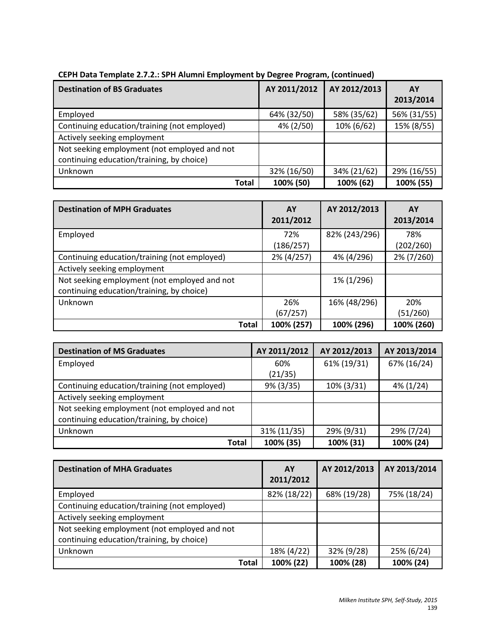| <b>Destination of BS Graduates</b>           | AY 2011/2012 | AY 2012/2013 | AY<br>2013/2014 |
|----------------------------------------------|--------------|--------------|-----------------|
| Employed                                     | 64% (32/50)  | 58% (35/62)  | 56% (31/55)     |
| Continuing education/training (not employed) | 4% (2/50)    | 10% (6/62)   | 15% (8/55)      |
| Actively seeking employment                  |              |              |                 |
| Not seeking employment (not employed and not |              |              |                 |
| continuing education/training, by choice)    |              |              |                 |
| Unknown                                      | 32% (16/50)  | 34% (21/62)  | 29% (16/55)     |
| <b>Total</b>                                 | 100% (50)    | 100% (62)    | 100% (55)       |

## **CEPH Data Template 2.7.2.: SPH Alumni Employment by Degree Program, (continued)**

| <b>Destination of MPH Graduates</b>          | AY<br>2011/2012 | AY 2012/2013  | AY<br>2013/2014 |
|----------------------------------------------|-----------------|---------------|-----------------|
| Employed                                     | 72%             | 82% (243/296) | 78%             |
|                                              | (186/257)       |               | (202/260)       |
| Continuing education/training (not employed) | 2% (4/257)      | 4% (4/296)    | 2% (7/260)      |
| Actively seeking employment                  |                 |               |                 |
| Not seeking employment (not employed and not |                 | 1% (1/296)    |                 |
| continuing education/training, by choice)    |                 |               |                 |
| Unknown                                      | 26%             | 16% (48/296)  | 20%             |
|                                              | (67/257)        |               | (51/260)        |
| <b>Total</b>                                 | 100% (257)      | 100% (296)    | 100% (260)      |

| <b>Destination of MS Graduates</b>           | AY 2011/2012 | AY 2012/2013 | AY 2013/2014 |
|----------------------------------------------|--------------|--------------|--------------|
| Employed                                     | 60%          | 61% (19/31)  | 67% (16/24)  |
|                                              | (21/35)      |              |              |
| Continuing education/training (not employed) | 9% (3/35)    | 10% (3/31)   | $4\%$ (1/24) |
| Actively seeking employment                  |              |              |              |
| Not seeking employment (not employed and not |              |              |              |
| continuing education/training, by choice)    |              |              |              |
| Unknown                                      | 31% (11/35)  | 29% (9/31)   | 29% (7/24)   |
| Total                                        | 100% (35)    | 100% (31)    | 100% (24)    |

| <b>Destination of MHA Graduates</b>          | AY<br>2011/2012 | AY 2012/2013 | AY 2013/2014 |
|----------------------------------------------|-----------------|--------------|--------------|
| Employed                                     | 82% (18/22)     | 68% (19/28)  | 75% (18/24)  |
| Continuing education/training (not employed) |                 |              |              |
| Actively seeking employment                  |                 |              |              |
| Not seeking employment (not employed and not |                 |              |              |
| continuing education/training, by choice)    |                 |              |              |
| Unknown                                      | 18% (4/22)      | 32% (9/28)   | 25% (6/24)   |
| <b>Total</b>                                 | 100% (22)       | 100% (28)    | 100% (24)    |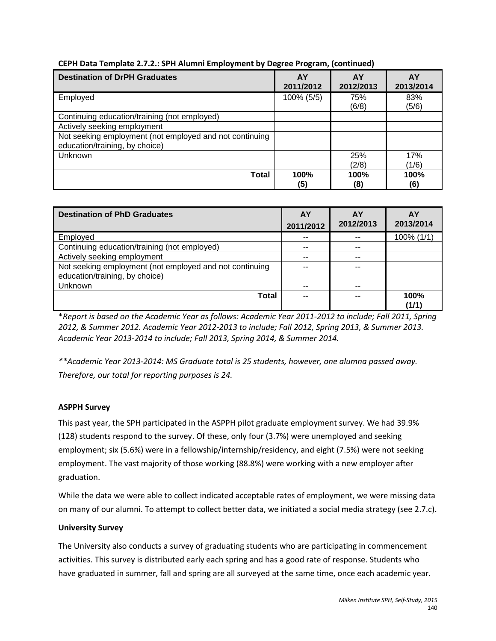| <b>Destination of DrPH Graduates</b>                                                      | AY<br>2011/2012 | AY<br>2012/2013 | AY<br>2013/2014 |
|-------------------------------------------------------------------------------------------|-----------------|-----------------|-----------------|
| Employed                                                                                  | 100% (5/5)      | 75%<br>(6/8)    | 83%<br>(5/6)    |
| Continuing education/training (not employed)                                              |                 |                 |                 |
| Actively seeking employment                                                               |                 |                 |                 |
| Not seeking employment (not employed and not continuing<br>education/training, by choice) |                 |                 |                 |
| Unknown                                                                                   |                 | 25%             | 17%             |
|                                                                                           |                 | (2/8)           | (1/6)           |
| Total                                                                                     | 100%<br>(5)     | 100%<br>(8)     | 100%<br>(6)     |

## **CEPH Data Template 2.7.2.: SPH Alumni Employment by Degree Program, (continued)**

| <b>Destination of PhD Graduates</b>                                                       | AY<br>2011/2012 | AY<br>2012/2013 | <b>AY</b><br>2013/2014 |
|-------------------------------------------------------------------------------------------|-----------------|-----------------|------------------------|
| Employed                                                                                  | $- -$           | --              | 100% (1/1)             |
| Continuing education/training (not employed)                                              | $- -$           | $- -$           |                        |
| Actively seeking employment                                                               | $- -$           | $- -$           |                        |
| Not seeking employment (not employed and not continuing<br>education/training, by choice) |                 | --              |                        |
| Unknown                                                                                   | $ -$            | $-$             |                        |
| Total                                                                                     | --              | --              | 100%<br>(1/1)          |

\**Report is based on the Academic Year as follows: Academic Year 2011-2012 to include; Fall 2011, Spring 2012, & Summer 2012. Academic Year 2012-2013 to include; Fall 2012, Spring 2013, & Summer 2013. Academic Year 2013-2014 to include; Fall 2013, Spring 2014, & Summer 2014.* 

*\*\*Academic Year 2013-2014: MS Graduate total is 25 students, however, one alumna passed away. Therefore, our total for reporting purposes is 24.*

## **ASPPH Survey**

This past year, the SPH participated in the ASPPH pilot graduate employment survey. We had 39.9% (128) students respond to the survey. Of these, only four (3.7%) were unemployed and seeking employment; six (5.6%) were in a fellowship/internship/residency, and eight (7.5%) were not seeking employment. The vast majority of those working (88.8%) were working with a new employer after graduation.

While the data we were able to collect indicated acceptable rates of employment, we were missing data on many of our alumni. To attempt to collect better data, we initiated a social media strategy (see 2.7.c).

## **University Survey**

The University also conducts a survey of graduating students who are participating in commencement activities. This survey is distributed early each spring and has a good rate of response. Students who have graduated in summer, fall and spring are all surveyed at the same time, once each academic year.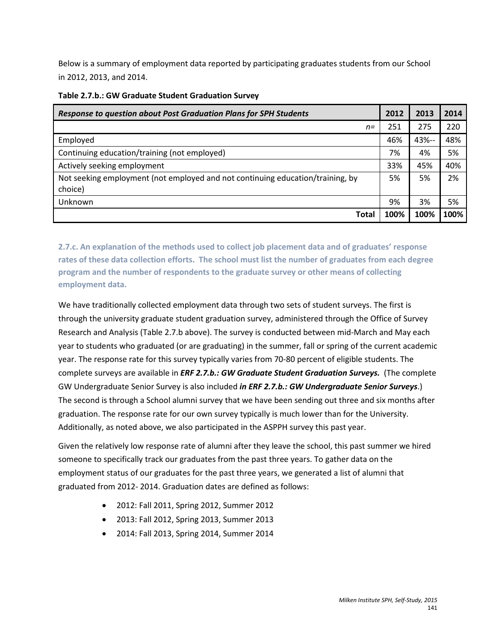Below is a summary of employment data reported by participating graduates students from our School in 2012, 2013, and 2014.

| <b>Response to question about Post Graduation Plans for SPH Students</b>       | 2012 | 2013  | 2014 |
|--------------------------------------------------------------------------------|------|-------|------|
| $n =$                                                                          | 251  | 275   | 220  |
| Employed                                                                       | 46%  | 43%-- | 48%  |
| Continuing education/training (not employed)                                   | 7%   | 4%    | 5%   |
| Actively seeking employment                                                    | 33%  | 45%   | 40%  |
| Not seeking employment (not employed and not continuing education/training, by | 5%   | 5%    | 2%   |
| choice)                                                                        |      |       |      |
| Unknown                                                                        | 9%   | 3%    | 5%   |
| Total                                                                          | 100% | 100%  | 100% |

#### **Table 2.7.b.: GW Graduate Student Graduation Survey**

**2.7.c. An explanation of the methods used to collect job placement data and of graduates' response rates of these data collection efforts. The school must list the number of graduates from each degree program and the number of respondents to the graduate survey or other means of collecting employment data.**

We have traditionally collected employment data through two sets of student surveys. The first is through the university graduate student graduation survey, administered through the Office of Survey Research and Analysis (Table 2.7.b above). The survey is conducted between mid-March and May each year to students who graduated (or are graduating) in the summer, fall or spring of the current academic year. The response rate for this survey typically varies from 70-80 percent of eligible students. The complete surveys are available in *ERF 2.7.b.: GW Graduate Student Graduation Surveys.* (The complete GW Undergraduate Senior Survey is also included *in ERF 2.7.b.: GW Undergraduate Senior Surveys*.) The second is through a School alumni survey that we have been sending out three and six months after graduation. The response rate for our own survey typically is much lower than for the University. Additionally, as noted above, we also participated in the ASPPH survey this past year.

Given the relatively low response rate of alumni after they leave the school, this past summer we hired someone to specifically track our graduates from the past three years. To gather data on the employment status of our graduates for the past three years, we generated a list of alumni that graduated from 2012- 2014. Graduation dates are defined as follows:

- 2012: Fall 2011, Spring 2012, Summer 2012
- 2013: Fall 2012, Spring 2013, Summer 2013
- 2014: Fall 2013, Spring 2014, Summer 2014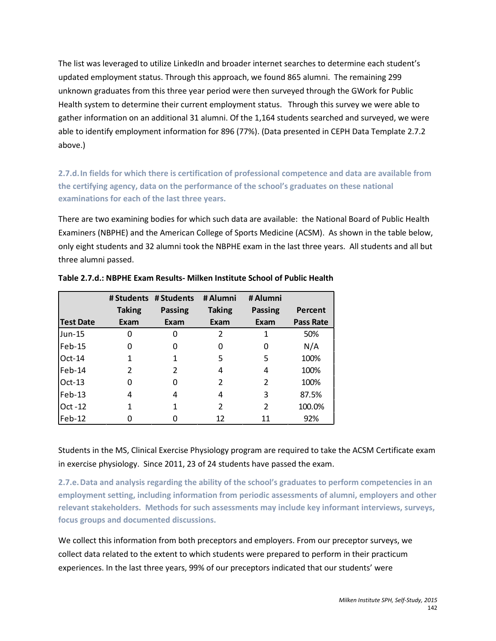The list was leveraged to utilize LinkedIn and broader internet searches to determine each student's updated employment status. Through this approach, we found 865 alumni. The remaining 299 unknown graduates from this three year period were then surveyed through the GWork for Public Health system to determine their current employment status. Through this survey we were able to gather information on an additional 31 alumni. Of the 1,164 students searched and surveyed, we were able to identify employment information for 896 (77%). (Data presented in CEPH Data Template 2.7.2 above.)

**2.7.d.In fields for which there is certification of professional competence and data are available from the certifying agency, data on the performance of the school's graduates on these national examinations for each of the last three years.** 

There are two examining bodies for which such data are available: the National Board of Public Health Examiners (NBPHE) and the American College of Sports Medicine (ACSM). As shown in the table below, only eight students and 32 alumni took the NBPHE exam in the last three years. All students and all but three alumni passed.

|                  |               | # Students # Students | # Alumni      | # Alumni       |                  |
|------------------|---------------|-----------------------|---------------|----------------|------------------|
|                  | <b>Taking</b> | Passing               | <b>Taking</b> | <b>Passing</b> | Percent          |
| <b>Test Date</b> | Exam          | Exam                  | Exam          | Exam           | <b>Pass Rate</b> |
| Jun-15           | O             | O                     | 2             | 1              | 50%              |
| $Feb-15$         |               | 0                     | $\mathbf{0}$  | O              | N/A              |
| $Oct-14$         |               |                       | 5             | 5              | 100%             |
| $Feb-14$         | 2             | 2                     | 4             | 4              | 100%             |
| $Oct-13$         | O             | O                     | 2             | 2              | 100%             |
| $Feb-13$         | 4             | 4                     | 4             | 3              | 87.5%            |
| Oct -12          |               |                       | 2             | $\overline{2}$ | 100.0%           |
| Feb-12           |               |                       | 12            | 11             | 92%              |

**Table 2.7.d.: NBPHE Exam Results- Milken Institute School of Public Health**

Students in the MS, Clinical Exercise Physiology program are required to take the ACSM Certificate exam in exercise physiology. Since 2011, 23 of 24 students have passed the exam.

**2.7.e.Data and analysis regarding the ability of the school's graduates to perform competencies in an employment setting, including information from periodic assessments of alumni, employers and other relevant stakeholders. Methods for such assessments may include key informant interviews, surveys, focus groups and documented discussions.**

We collect this information from both preceptors and employers. From our preceptor surveys, we collect data related to the extent to which students were prepared to perform in their practicum experiences. In the last three years, 99% of our preceptors indicated that our students' were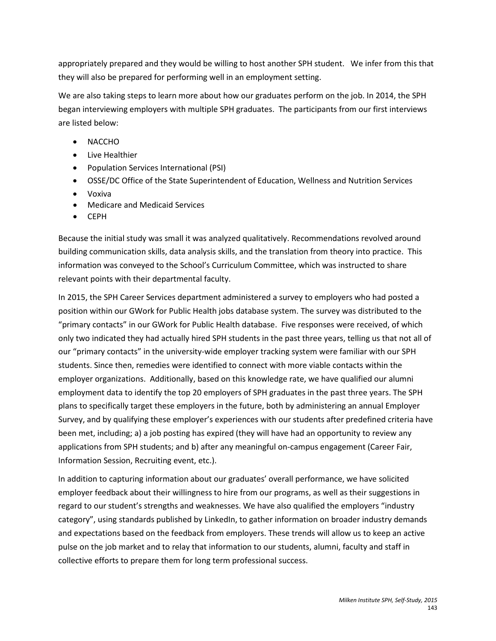appropriately prepared and they would be willing to host another SPH student. We infer from this that they will also be prepared for performing well in an employment setting.

We are also taking steps to learn more about how our graduates perform on the job. In 2014, the SPH began interviewing employers with multiple SPH graduates. The participants from our first interviews are listed below:

- NACCHO
- Live Healthier
- Population Services International (PSI)
- OSSE/DC Office of the State Superintendent of Education, Wellness and Nutrition Services
- Voxiva
- Medicare and Medicaid Services
- CEPH

Because the initial study was small it was analyzed qualitatively. Recommendations revolved around building communication skills, data analysis skills, and the translation from theory into practice. This information was conveyed to the School's Curriculum Committee, which was instructed to share relevant points with their departmental faculty.

In 2015, the SPH Career Services department administered a survey to employers who had posted a position within our GWork for Public Health jobs database system. The survey was distributed to the "primary contacts" in our GWork for Public Health database. Five responses were received, of which only two indicated they had actually hired SPH students in the past three years, telling us that not all of our "primary contacts" in the university-wide employer tracking system were familiar with our SPH students. Since then, remedies were identified to connect with more viable contacts within the employer organizations. Additionally, based on this knowledge rate, we have qualified our alumni employment data to identify the top 20 employers of SPH graduates in the past three years. The SPH plans to specifically target these employers in the future, both by administering an annual Employer Survey, and by qualifying these employer's experiences with our students after predefined criteria have been met, including; a) a job posting has expired (they will have had an opportunity to review any applications from SPH students; and b) after any meaningful on-campus engagement (Career Fair, Information Session, Recruiting event, etc.).

In addition to capturing information about our graduates' overall performance, we have solicited employer feedback about their willingness to hire from our programs, as well as their suggestions in regard to our student's strengths and weaknesses. We have also qualified the employers "industry category", using standards published by LinkedIn, to gather information on broader industry demands and expectations based on the feedback from employers. These trends will allow us to keep an active pulse on the job market and to relay that information to our students, alumni, faculty and staff in collective efforts to prepare them for long term professional success.